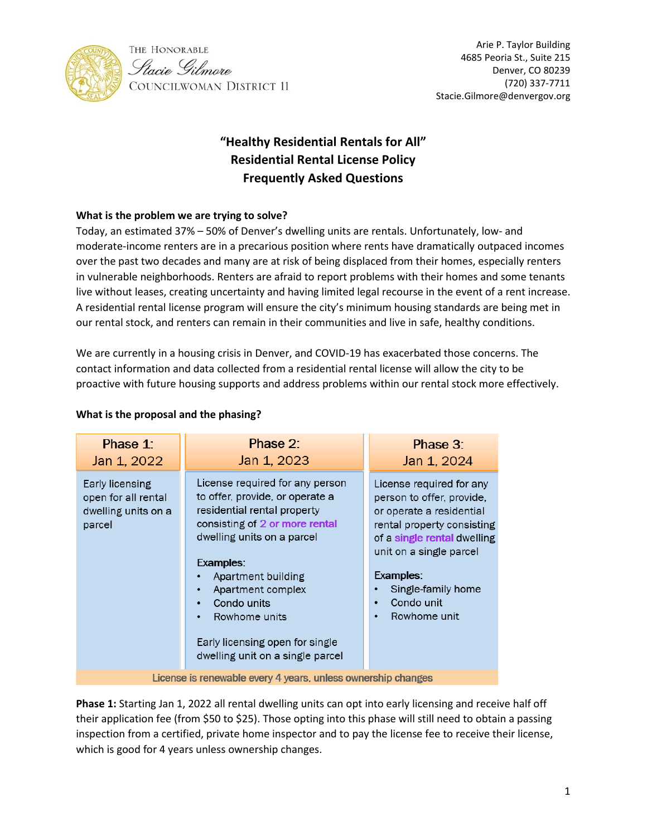



# **"Healthy Residential Rentals for All" Residential Rental License Policy Frequently Asked Questions**

## **What is the problem we are trying to solve?**

Today, an estimated 37% – 50% of Denver's dwelling units are rentals. Unfortunately, low- and moderate-income renters are in a precarious position where rents have dramatically outpaced incomes over the past two decades and many are at risk of being displaced from their homes, especially renters in vulnerable neighborhoods. Renters are afraid to report problems with their homes and some tenants live without leases, creating uncertainty and having limited legal recourse in the event of a rent increase. A residential rental license program will ensure the city's minimum housing standards are being met in our rental stock, and renters can remain in their communities and live in safe, healthy conditions.

We are currently in a housing crisis in Denver, and COVID-19 has exacerbated those concerns. The contact information and data collected from a residential rental license will allow the city to be proactive with future housing supports and address problems within our rental stock more effectively.

| Phase 1:<br>Jan 1, 2022                                      | Phase 2:<br>Jan 1, 2023                                        | Phase 3:<br>Jan 1, 2024                               |  |  |  |
|--------------------------------------------------------------|----------------------------------------------------------------|-------------------------------------------------------|--|--|--|
|                                                              |                                                                |                                                       |  |  |  |
| Early licensing                                              | License required for any person                                | License required for any                              |  |  |  |
| open for all rental<br>dwelling units on a                   | to offer, provide, or operate a<br>residential rental property | person to offer, provide,<br>or operate a residential |  |  |  |
| parcel                                                       | consisting of 2 or more rental                                 | rental property consisting                            |  |  |  |
|                                                              | dwelling units on a parcel                                     | of a single rental dwelling                           |  |  |  |
|                                                              | Examples:                                                      | unit on a single parcel                               |  |  |  |
|                                                              | Apartment building                                             | Examples:                                             |  |  |  |
|                                                              | Apartment complex<br>$\bullet$                                 | Single-family home                                    |  |  |  |
|                                                              | Condo units<br>$\bullet$                                       | Condo unit<br>٠                                       |  |  |  |
|                                                              | Rowhome units<br>$\bullet$                                     | Rowhome unit                                          |  |  |  |
|                                                              | Early licensing open for single                                |                                                       |  |  |  |
|                                                              | dwelling unit on a single parcel                               |                                                       |  |  |  |
| License is renewable every 4 years, unless ownership changes |                                                                |                                                       |  |  |  |

## **What is the proposal and the phasing?**

**Phase 1:** Starting Jan 1, 2022 all rental dwelling units can opt into early licensing and receive half off their application fee (from \$50 to \$25). Those opting into this phase will still need to obtain a passing inspection from a certified, private home inspector and to pay the license fee to receive their license, which is good for 4 years unless ownership changes.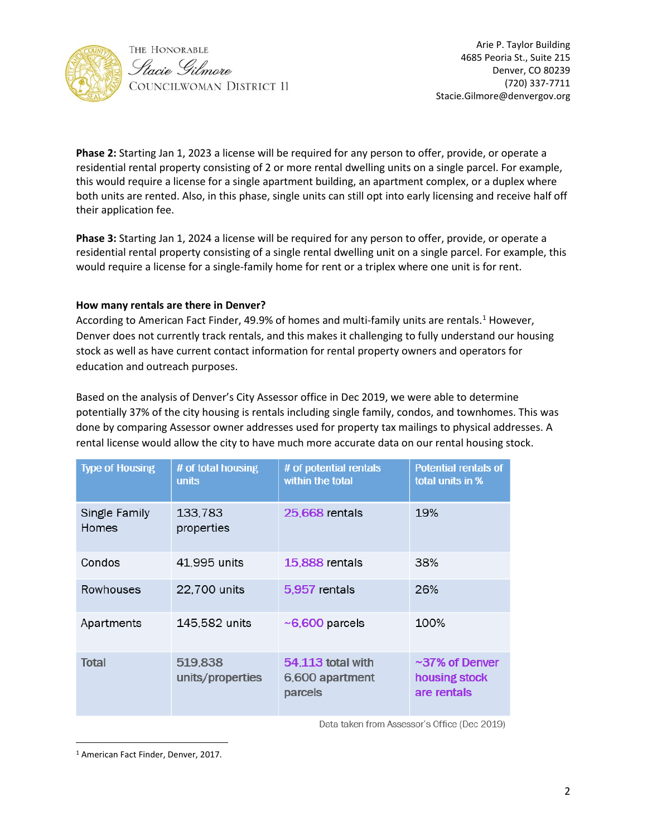

Arie P. Taylor Building 4685 Peoria St., Suite 215<br> *Ptacie Gilmore* Denver, CO 80239 Denver, CO 80239 (720) 337-7711 Stacie.Gilmore@denvergov.org

**Phase 2:** Starting Jan 1, 2023 a license will be required for any person to offer, provide, or operate a residential rental property consisting of 2 or more rental dwelling units on a single parcel. For example, this would require a license for a single apartment building, an apartment complex, or a duplex where both units are rented. Also, in this phase, single units can still opt into early licensing and receive half off their application fee.

**Phase 3:** Starting Jan 1, 2024 a license will be required for any person to offer, provide, or operate a residential rental property consisting of a single rental dwelling unit on a single parcel. For example, this would require a license for a single-family home for rent or a triplex where one unit is for rent.

#### **How many rentals are there in Denver?**

According to American Fact Finder, 49.9% of homes and multi-family units are rentals.<sup>[1](#page-1-0)</sup> However, Denver does not currently track rentals, and this makes it challenging to fully understand our housing stock as well as have current contact information for rental property owners and operators for education and outreach purposes.

Based on the analysis of Denver's City Assessor office in Dec 2019, we were able to determine potentially 37% of the city housing is rentals including single family, condos, and townhomes. This was done by comparing Assessor owner addresses used for property tax mailings to physical addresses. A rental license would allow the city to have much more accurate data on our rental housing stock.

| <b>Type of Housing</b> | # of total housing<br>units | # of potential rentals<br>within the total      | <b>Potential rentals of</b><br>total units in %      |
|------------------------|-----------------------------|-------------------------------------------------|------------------------------------------------------|
| Single Family<br>Homes | 133,783<br>properties       | <b>25,668</b> rentals                           | 19%                                                  |
| Condos                 | 41,995 units                | 15,888 rentals                                  | 38%                                                  |
| Rowhouses              | 22,700 units                | 5,957 rentals                                   | 26%                                                  |
| Apartments             | 145,582 units               | $\sim$ 6,600 parcels                            | 100%                                                 |
| <b>Total</b>           | 519,838<br>units/properties | 54,113 total with<br>6,600 apartment<br>parcels | $\sim$ 37% of Denver<br>housing stock<br>are rentals |

Data taken from Assessor's Office (Dec 2019)

<span id="page-1-0"></span><sup>1</sup> American Fact Finder, Denver, 2017.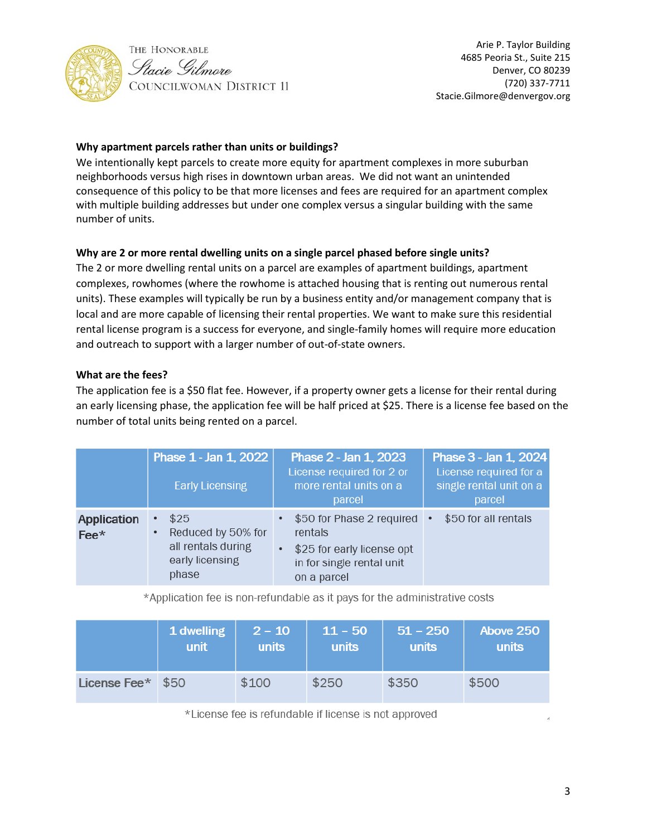

## **Why apartment parcels rather than units or buildings?**

We intentionally kept parcels to create more equity for apartment complexes in more suburban neighborhoods versus high rises in downtown urban areas. We did not want an unintended consequence of this policy to be that more licenses and fees are required for an apartment complex with multiple building addresses but under one complex versus a singular building with the same number of units.

## **Why are 2 or more rental dwelling units on a single parcel phased before single units?**

The 2 or more dwelling rental units on a parcel are examples of apartment buildings, apartment complexes, rowhomes (where the rowhome is attached housing that is renting out numerous rental units). These examples will typically be run by a business entity and/or management company that is local and are more capable of licensing their rental properties. We want to make sure this residential rental license program is a success for everyone, and single-family homes will require more education and outreach to support with a larger number of out-of-state owners.

#### **What are the fees?**

The application fee is a \$50 flat fee. However, if a property owner gets a license for their rental during an early licensing phase, the application fee will be half priced at \$25. There is a license fee based on the number of total units being rented on a parcel.

|                     | Phase 1 - Jan 1, 2022<br><b>Early Licensing</b>                                                | Phase 2 - Jan 1, 2023<br>License required for 2 or<br>more rental units on a<br>parcel                                                     | Phase 3 - Jan 1, 2024<br>License required for a<br>single rental unit on a<br>parcel |
|---------------------|------------------------------------------------------------------------------------------------|--------------------------------------------------------------------------------------------------------------------------------------------|--------------------------------------------------------------------------------------|
| Application<br>Fee* | \$25<br>$\bullet$<br>Reduced by 50% for<br>٠<br>all rentals during<br>early licensing<br>phase | \$50 for Phase 2 required •<br>$\bullet$<br>rentals<br>\$25 for early license opt<br>$\bullet$<br>in for single rental unit<br>on a parcel | \$50 for all rentals                                                                 |

\*Application fee is non-refundable as it pays for the administrative costs

|              | 1 dwelling | $2 - 10$ | $11 - 50$    | $51 - 250$ | Above 250 |
|--------------|------------|----------|--------------|------------|-----------|
|              | unit       | units    | <b>units</b> | units      | units     |
| License Fee* | \$50       | \$100    | \$250        | \$350      | \$500     |

\*License fee is refundable if license is not approved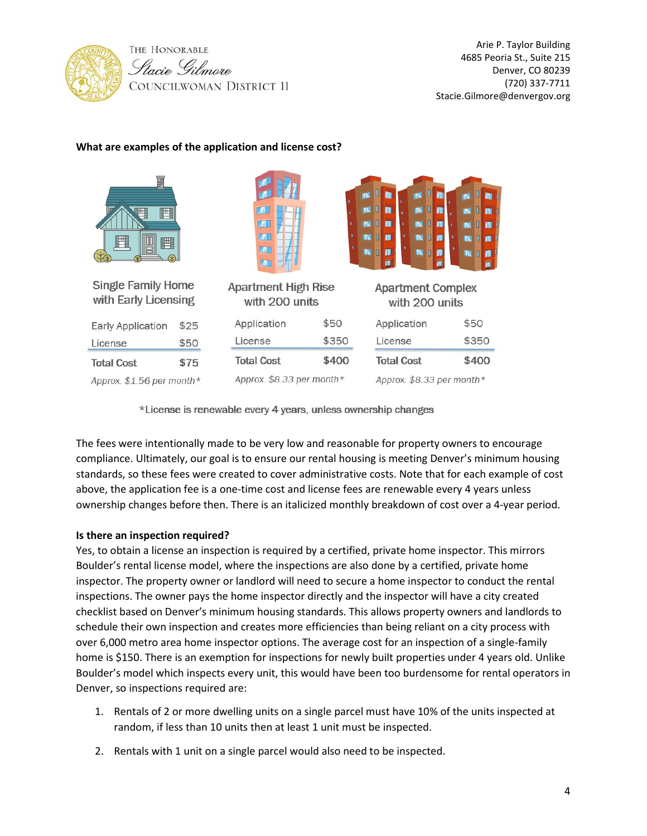

#### **What are examples of the application and license cost?**

| E<br>■<br>鬥                                       |      | $\blacksquare$<br>$\mathbb{Z}$<br><b>KVIT</b><br><b>LOT</b> | <b>IN</b><br><b>IN</b> | m<br>П<br>П<br>m<br>W<br>П<br>П<br>П<br>m<br>W<br><b>NET III</b><br>П<br>w<br><b>N</b> I<br>п<br>m | <b>IN</b><br>ш<br><b>IV</b><br>Ш |  |
|---------------------------------------------------|------|-------------------------------------------------------------|------------------------|----------------------------------------------------------------------------------------------------|----------------------------------|--|
| <b>Single Family Home</b><br>with Early Licensing |      | <b>Apartment High Rise</b><br>with 200 units                |                        | <b>Apartment Complex</b><br>with 200 units                                                         |                                  |  |
| <b>Early Application</b>                          | \$25 | Application                                                 | \$50                   | Application                                                                                        | \$50                             |  |
| License                                           | \$50 | License                                                     | \$350                  | License                                                                                            | \$350                            |  |
| <b>Total Cost</b>                                 | \$75 | <b>Total Cost</b>                                           | \$400                  | <b>Total Cost</b>                                                                                  | \$400                            |  |
| Approx. \$1.56 per month*                         |      | Approx. \$8.33 per month*                                   |                        | Approx. \$8.33 per month*                                                                          |                                  |  |

\*License is renewable every 4 years, unless ownership changes

The fees were intentionally made to be very low and reasonable for property owners to encourage compliance. Ultimately, our goal is to ensure our rental housing is meeting Denver's minimum housing standards, so these fees were created to cover administrative costs. Note that for each example of cost above, the application fee is a one-time cost and license fees are renewable every 4 years unless ownership changes before then. There is an italicized monthly breakdown of cost over a 4-year period.

#### **Is there an inspection required?**

Yes, to obtain a license an inspection is required by a certified, private home inspector. This mirrors Boulder's rental license model, where the inspections are also done by a certified, private home inspector. The property owner or landlord will need to secure a home inspector to conduct the rental inspections. The owner pays the home inspector directly and the inspector will have a city created checklist based on Denver's minimum housing standards. This allows property owners and landlords to schedule their own inspection and creates more efficiencies than being reliant on a city process with over 6,000 metro area home inspector options. The average cost for an inspection of a single-family home is \$150. There is an exemption for inspections for newly built properties under 4 years old. Unlike Boulder's model which inspects every unit, this would have been too burdensome for rental operators in Denver, so inspections required are:

- 1. Rentals of 2 or more dwelling units on a single parcel must have 10% of the units inspected at random, if less than 10 units then at least 1 unit must be inspected.
- 2. Rentals with 1 unit on a single parcel would also need to be inspected.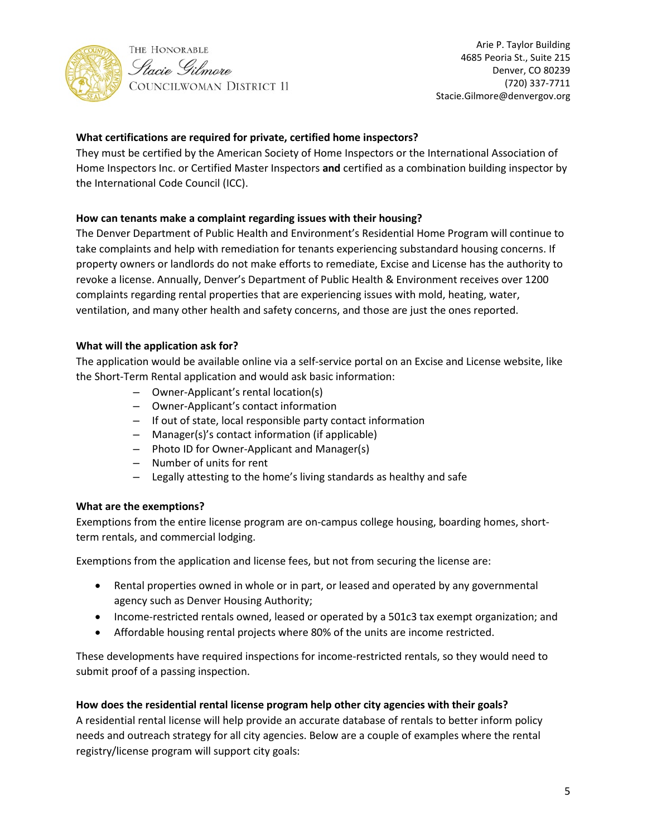



## **What certifications are required for private, certified home inspectors?**

They must be certified by the American Society of Home Inspectors or the International Association of Home Inspectors Inc. or Certified Master Inspectors **and** certified as a combination building inspector by the International Code Council (ICC).

#### **How can tenants make a complaint regarding issues with their housing?**

The Denver Department of Public Health and Environment's Residential Home Program will continue to take complaints and help with remediation for tenants experiencing substandard housing concerns. If property owners or landlords do not make efforts to remediate, Excise and License has the authority to revoke a license. Annually, Denver's Department of Public Health & Environment receives over 1200 complaints regarding rental properties that are experiencing issues with mold, heating, water, ventilation, and many other health and safety concerns, and those are just the ones reported.

#### **What will the application ask for?**

The application would be available online via a self-service portal on an Excise and License website, like the Short-Term Rental application and would ask basic information:

- Owner-Applicant's rental location(s)
- Owner-Applicant's contact information
- If out of state, local responsible party contact information
- Manager(s)'s contact information (if applicable)
- Photo ID for Owner-Applicant and Manager(s)
- Number of units for rent
- Legally attesting to the home's living standards as healthy and safe

#### **What are the exemptions?**

Exemptions from the entire license program are on-campus college housing, boarding homes, shortterm rentals, and commercial lodging.

Exemptions from the application and license fees, but not from securing the license are:

- Rental properties owned in whole or in part, or leased and operated by any governmental agency such as Denver Housing Authority;
- Income-restricted rentals owned, leased or operated by a 501c3 tax exempt organization; and
- Affordable housing rental projects where 80% of the units are income restricted.

These developments have required inspections for income-restricted rentals, so they would need to submit proof of a passing inspection.

## **How does the residential rental license program help other city agencies with their goals?**

A residential rental license will help provide an accurate database of rentals to better inform policy needs and outreach strategy for all city agencies. Below are a couple of examples where the rental registry/license program will support city goals: